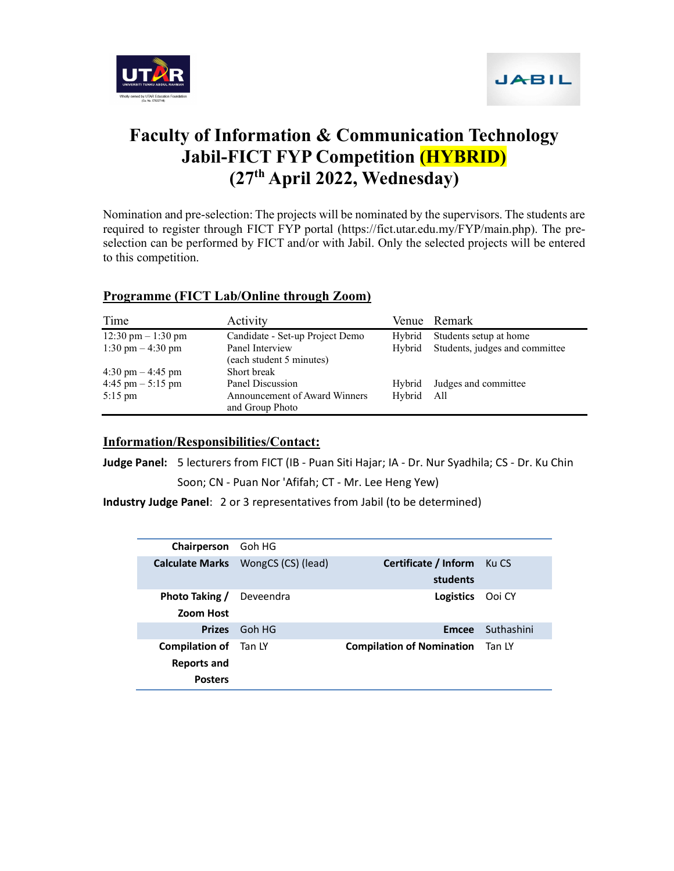



# Faculty of Information & Communication Technology Jabil-FICT FYP Competition (HYBRID) (27th April 2022, Wednesday)

Nomination and pre-selection: The projects will be nominated by the supervisors. The students are required to register through FICT FYP portal (https://fict.utar.edu.my/FYP/main.php). The preselection can be performed by FICT and/or with Jabil. Only the selected projects will be entered to this competition.

### Programme (FICT Lab/Online through Zoom)

| Time                                 | Activity                                         |        | Venue Remark                   |
|--------------------------------------|--------------------------------------------------|--------|--------------------------------|
| $12:30 \text{ pm} - 1:30 \text{ pm}$ | Candidate - Set-up Project Demo                  | Hybrid | Students setup at home         |
| 1:30 pm $-$ 4:30 pm                  | Panel Interview                                  | Hybrid | Students, judges and committee |
|                                      | (each student 5 minutes)                         |        |                                |
| $4:30 \text{ pm} - 4:45 \text{ pm}$  | Short break                                      |        |                                |
| $4:45$ pm $-5:15$ pm                 | Panel Discussion                                 | Hybrid | Judges and committee           |
| $5:15$ pm                            | Announcement of Award Winners<br>and Group Photo | Hybrid | All                            |

#### Information/Responsibilities/Contact:

Judge Panel: 5 lecturers from FICT (IB - Puan Siti Hajar; IA - Dr. Nur Syadhila; CS - Dr. Ku Chin Soon; CN - Puan Nor 'Afifah; CT - Mr. Lee Heng Yew)

Industry Judge Panel: 2 or 3 representatives from Jabil (to be determined)

| Chairperson Goh HG                                            |                                    |                                  |            |
|---------------------------------------------------------------|------------------------------------|----------------------------------|------------|
|                                                               | Calculate Marks WongCS (CS) (lead) | Certificate / Inform<br>students | Ku CS      |
| <b>Photo Taking /</b><br>Zoom Host                            | Deveendra                          | Logistics                        | Ooi CY     |
|                                                               | Prizes Goh HG                      | <b>Emcee</b>                     | Suthashini |
| <b>Compilation of</b> Tan LY<br>Reports and<br><b>Posters</b> |                                    | <b>Compilation of Nomination</b> | Tan LY     |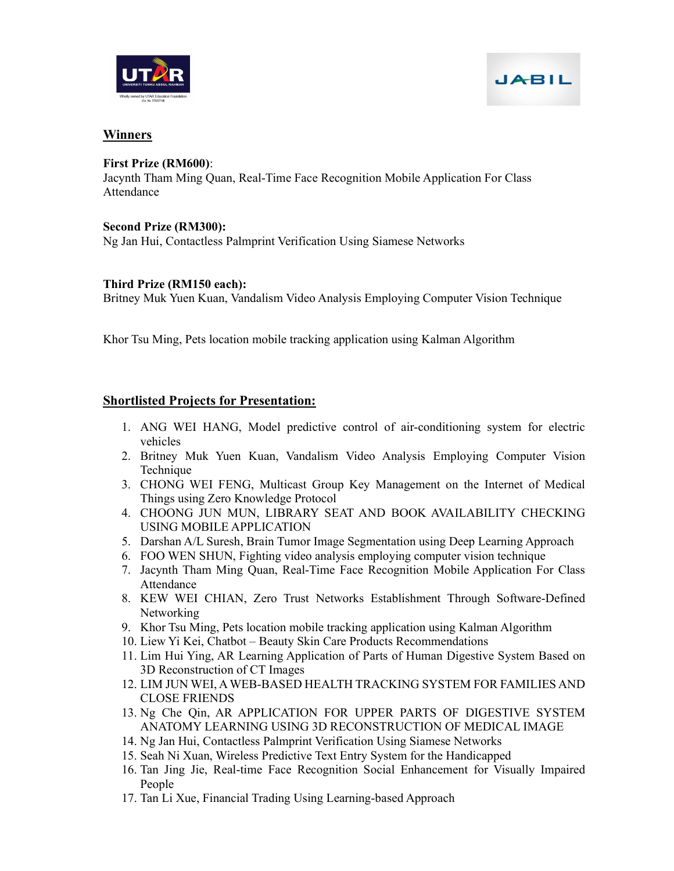



## Winners

#### First Prize (RM600):

Jacynth Tham Ming Quan, Real-Time Face Recognition Mobile Application For Class Attendance

### Second Prize (RM300):

Ng Jan Hui, Contactless Palmprint Verification Using Siamese Networks

### Third Prize (RM150 each):

Britney Muk Yuen Kuan, Vandalism Video Analysis Employing Computer Vision Technique

Khor Tsu Ming, Pets location mobile tracking application using Kalman Algorithm

## Shortlisted Projects for Presentation:

- 1. ANG WEI HANG, Model predictive control of air-conditioning system for electric vehicles
- 2. Britney Muk Yuen Kuan, Vandalism Video Analysis Employing Computer Vision Technique
- 3. CHONG WEI FENG, Multicast Group Key Management on the Internet of Medical Things using Zero Knowledge Protocol
- 4. CHOONG JUN MUN, LIBRARY SEAT AND BOOK AVAILABILITY CHECKING USING MOBILE APPLICATION
- 5. Darshan A/L Suresh, Brain Tumor Image Segmentation using Deep Learning Approach
- 6. FOO WEN SHUN, Fighting video analysis employing computer vision technique
- 7. Jacynth Tham Ming Quan, Real-Time Face Recognition Mobile Application For Class Attendance
- 8. KEW WEI CHIAN, Zero Trust Networks Establishment Through Software-Defined Networking
- 9. Khor Tsu Ming, Pets location mobile tracking application using Kalman Algorithm
- 10. Liew Yi Kei, Chatbot Beauty Skin Care Products Recommendations
- 11. Lim Hui Ying, AR Learning Application of Parts of Human Digestive System Based on 3D Reconstruction of CT Images
- 12. LIM JUN WEI, A WEB-BASED HEALTH TRACKING SYSTEM FOR FAMILIES AND CLOSE FRIENDS
- 13. Ng Che Qin, AR APPLICATION FOR UPPER PARTS OF DIGESTIVE SYSTEM ANATOMY LEARNING USING 3D RECONSTRUCTION OF MEDICAL IMAGE
- 14. Ng Jan Hui, Contactless Palmprint Verification Using Siamese Networks
- 15. Seah Ni Xuan, Wireless Predictive Text Entry System for the Handicapped
- 16. Tan Jing Jie, Real-time Face Recognition Social Enhancement for Visually Impaired People
- 17. Tan Li Xue, Financial Trading Using Learning-based Approach